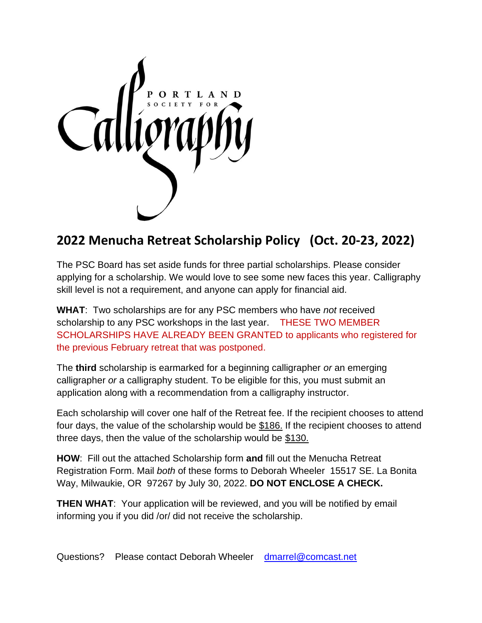

## **2022 Menucha Retreat Scholarship Policy (Oct. 20-23, 2022)**

The PSC Board has set aside funds for three partial scholarships. Please consider applying for a scholarship. We would love to see some new faces this year. Calligraphy skill level is not a requirement, and anyone can apply for financial aid.

**WHAT**: Two scholarships are for any PSC members who have *not* received scholarship to any PSC workshops in the last year. THESE TWO MEMBER SCHOLARSHIPS HAVE ALREADY BEEN GRANTED to applicants who registered for the previous February retreat that was postponed.

The **third** scholarship is earmarked for a beginning calligrapher *or* an emerging calligrapher *or* a calligraphy student. To be eligible for this, you must submit an application along with a recommendation from a calligraphy instructor.

Each scholarship will cover one half of the Retreat fee. If the recipient chooses to attend four days, the value of the scholarship would be \$186. If the recipient chooses to attend three days, then the value of the scholarship would be \$130.

**HOW**: Fill out the attached Scholarship form **and** fill out the Menucha Retreat Registration Form. Mail *both* of these forms to Deborah Wheeler 15517 SE. La Bonita Way, Milwaukie, OR 97267 by July 30, 2022. **DO NOT ENCLOSE A CHECK.** 

**THEN WHAT**: Your application will be reviewed, and you will be notified by email informing you if you did /or/ did not receive the scholarship.

Questions? Please contact Deborah Wheeler [dmarrel@comcast.net](mailto:dmarrel@comcast.net)